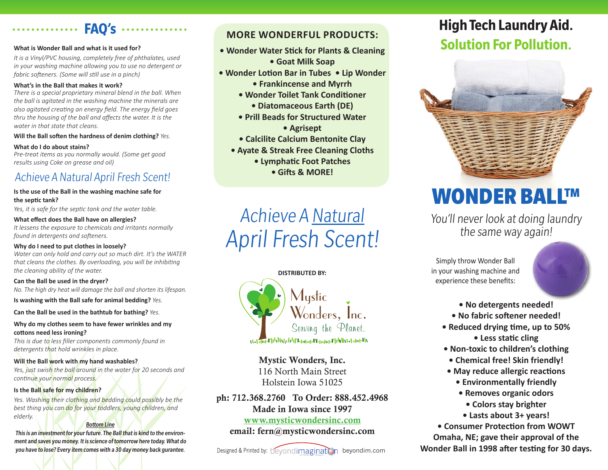## **What is Wonder Ball and what is it used for?**

*It is a Vinyl/PVC housing, completely free of phthalates, used in your washing machine allowing you to use no detergent or fabric softeners. (Some will still use in a pinch)*

**FAQ's**

#### **What's in the Ball that makes it work?**

*There is a special proprietary mineral blend in the ball. When the ball is agitated in the washing machine the minerals are also agitated creating an energy field. The energy field goes thru the housing of the ball and affects the water. It is the water in that state that cleans.*

**Will the Ball soften the hardness of denim clothing?** *Yes.*

#### **What do I do about stains?**

*Pre-treat items as you normally would. (Some get good results using Coke on grease and oil)*

## Achieve A Natural April Fresh Scent!

#### **Is the use of the Ball in the washing machine safe for the septic tank?**

*Yes, it is safe for the septic tank and the water table.*

#### **What effect does the Ball have on allergies?**

*It lessens the exposure to chemicals and irritants normally found in detergents and softeners.*

#### **Why do I need to put clothes in loosely?**

*Water can only hold and carry out so much dirt. It's the WATER that cleans the clothes. By overloading, you will be inhibiting the cleaning ability of the water.*

**Can the Ball be used in the dryer?** *No. The high dry heat will damage the ball and shorten its lifespan.*

**Is washing with the Ball safe for animal bedding?** *Yes.*

**Can the Ball be used in the bathtub for bathing?** *Yes.*

### **Why do my clothes seem to have fewer wrinkles and my cottons need less ironing?**

*This is due to less filler components commonly found in detergents that hold wrinkles in place.*

### **Will the Ball work with my hand washables?**

*Yes, just swish the ball around in the water for 20 seconds and continue your normal process.*

### **Is the Ball safe for my children?**

Yes. Washing their clothing and bedding could possibly be the *best thing you can do for your toddlers, young children, and elderly.*

### Bottom Line

This is an investment for your future. The Ball that is kind to the environment and saves you money. It is science of tomorrow here today. What do you have to lose? Every item comes with a 30 day money back gurantee. Designed & Printed by: beyondimagination beyondim.com

### **MORE WONDERFUL PRODUCTS:**

- **Wonder Water Stick for Plants & Cleaning**
	- **Goat Milk Soap**
- **Wonder Lotion Bar in Tubes Lip Wonder**
	- **Frankincense and Myrrh**
	- **Wonder Toilet Tank Conditioner**
		- **Diatomaceous Earth (DE)**
	- **Prill Beads for Structured Water • Agrisept**
	- **Calcilite Calcium Bentonite Clay**
	- **Ayate & Streak Free Cleaning Cloths**
		- **Lymphatic Foot Patches**
			- **Gifts & MORE!**

# Achieve A Natural April Fresh Scent!

**DISTRIBUTED BY:**



Mystic Wonders, Inc. 116 North Main Street Holstein Iowa 51025

ph: 712.368.2760 To Order: 888.452.4968 Made in Iowa since 1997 www.mysticwondersinc.com

## email: fern@mysticwondersinc.com

## **High Tech Laundry Aid. Solution For Pollution.**



# WONDER BALL™

You'll never look at doing laundry the same way again!

in your washing machine and

**• No detergents needed!**

Simply throw Wonder Ball

experience these benefits:

- **No fabric softener needed!**
- **Reduced drying time, up to 50% • Less static cling**
- **Non-toxic to children's clothing**
- **Chemical free! Skin friendly!**
- **May reduce allergic reactions**
	- **Environmentally friendly**
	- **Removes organic odors**
	- **Colors stay brighter**
	- **Lasts about 3+ years!**

**• Consumer Protection from WOWT Omaha, NE; gave their approval of the Wonder Ball in 1998 after testing for 30 days.**